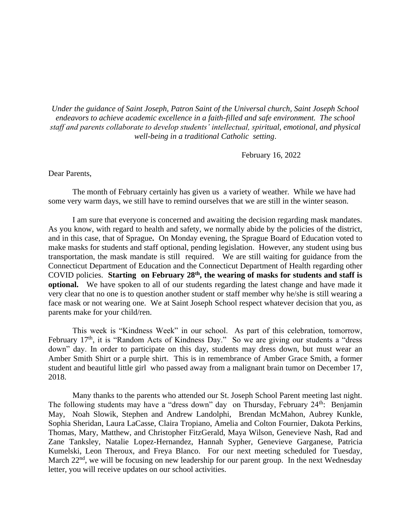*Under the guidance of Saint Joseph, Patron Saint of the Universal church, Saint Joseph School endeavors to achieve academic excellence in a faith-filled and safe environment. The school staff and parents collaborate to develop students' intellectual, spiritual, emotional, and physical well-being in a traditional Catholic setting*.

February 16, 2022

Dear Parents,

The month of February certainly has given us a variety of weather. While we have had some very warm days, we still have to remind ourselves that we are still in the winter season.

I am sure that everyone is concerned and awaiting the decision regarding mask mandates. As you know, with regard to health and safety, we normally abide by the policies of the district, and in this case, that of Sprague**.** On Monday evening, the Sprague Board of Education voted to make masks for students and staff optional, pending legislation. However, any student using bus transportation, the mask mandate is still required. We are still waiting for guidance from the Connecticut Department of Education and the Connecticut Department of Health regarding other COVID policies. **Starting on February 28th, the wearing of masks for students and staff is optional.** We have spoken to all of our students regarding the latest change and have made it very clear that no one is to question another student or staff member why he/she is still wearing a face mask or not wearing one. We at Saint Joseph School respect whatever decision that you, as parents make for your child/ren.

This week is "Kindness Week" in our school. As part of this celebration, tomorrow, February 17<sup>th</sup>, it is "Random Acts of Kindness Day." So we are giving our students a "dress" down" day. In order to participate on this day, students may dress down, but must wear an Amber Smith Shirt or a purple shirt. This is in remembrance of Amber Grace Smith, a former student and beautiful little girl who passed away from a malignant brain tumor on December 17, 2018.

Many thanks to the parents who attended our St. Joseph School Parent meeting last night. The following students may have a "dress down" day on Thursday, February 24<sup>th</sup>: Benjamin May, Noah Slowik, Stephen and Andrew Landolphi, Brendan McMahon, Aubrey Kunkle, Sophia Sheridan, Laura LaCasse, Claira Tropiano, Amelia and Colton Fournier, Dakota Perkins, Thomas, Mary, Matthew, and Christopher FitzGerald, Maya Wilson, Genevieve Nash, Rad and Zane Tanksley, Natalie Lopez-Hernandez, Hannah Sypher, Genevieve Garganese, Patricia Kumelski, Leon Theroux, and Freya Blanco. For our next meeting scheduled for Tuesday, March 22<sup>nd</sup>, we will be focusing on new leadership for our parent group. In the next Wednesday letter, you will receive updates on our school activities.